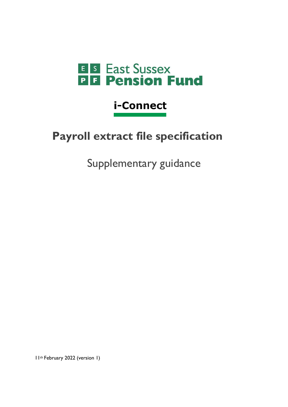

# i-Connect

# **Payroll extract file specification**

Supplementary guidance

11th February 2022 (version 1)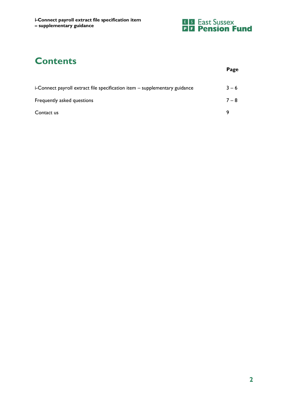

# **Contents**

|                                                                            | Page    |
|----------------------------------------------------------------------------|---------|
| i-Connect payroll extract file specification item - supplementary guidance | $3 - 6$ |
| Frequently asked questions                                                 | $7 - 8$ |
| Contact us                                                                 | q       |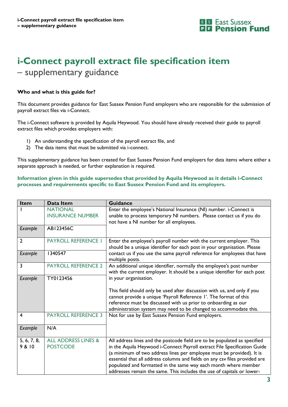

## **i-Connect payroll extract file specification item**  – supplementary guidance

#### **Who and what is this guide for?**

This document provides guidance for East Sussex Pension Fund employers who are responsible for the submission of payroll extract files via i-Connect.

The i-Connect software is provided by Aquila Heywood. You should have already received their guide to payroll extract files which provides employers with:

- 1) An understanding the specification of the payroll extract file, and
- 2) The data items that must be submitted via i-connect.

This supplementary guidance has been created for East Sussex Pension Fund employers for data items where either a separate approach is needed, or further explanation is required.

#### **Information given in this guide supersedes that provided by Aquila Heywood as it details i-Connect processes and requirements specific to East Sussex Pension Fund and its employers.**

| <b>Item</b>           | Data Item                                         | <b>Guidance</b>                                                                                                                                                                                                                                                                                                                                                                                                                                            |
|-----------------------|---------------------------------------------------|------------------------------------------------------------------------------------------------------------------------------------------------------------------------------------------------------------------------------------------------------------------------------------------------------------------------------------------------------------------------------------------------------------------------------------------------------------|
|                       | <b>NATIONAL</b><br><b>INSURANCE NUMBER</b>        | Enter the employee's National Insurance (NI) number. i-Connect is<br>unable to process temporary NI numbers. Please contact us if you do<br>not have a NI number for all employees.                                                                                                                                                                                                                                                                        |
| Example               | AB123456C                                         |                                                                                                                                                                                                                                                                                                                                                                                                                                                            |
| $\overline{2}$        | <b>PAYROLL REFERENCE I</b>                        | Enter the employee's payroll number with the current employer. This<br>should be a unique identifier for each post in your organisation. Please                                                                                                                                                                                                                                                                                                            |
| Example               | 1340547                                           | contact us if you use the same payroll reference for employees that have<br>multiple posts.                                                                                                                                                                                                                                                                                                                                                                |
| 3                     | <b>PAYROLL REFERENCE 2</b>                        | An additional unique identifier, normally the employee's post number<br>with the current employer. It should be a unique identifier for each post                                                                                                                                                                                                                                                                                                          |
| Example               | TY0123456                                         | in your organisation.                                                                                                                                                                                                                                                                                                                                                                                                                                      |
|                       |                                                   | This field should only be used after discussion with us, and only if you<br>cannot provide a unique 'Payroll Reference 1'. The format of this<br>reference must be discussed with us prior to onboarding as our<br>administration system may need to be changed to accommodate this.                                                                                                                                                                       |
| 4                     | <b>PAYROLL REFERENCE 3</b>                        | Not for use by East Sussex Pension Fund employers.                                                                                                                                                                                                                                                                                                                                                                                                         |
| Example               | N/A                                               |                                                                                                                                                                                                                                                                                                                                                                                                                                                            |
| 5, 6, 7, 8,<br>9 & 10 | <b>ALL ADDRESS LINES &amp;</b><br><b>POSTCODE</b> | All address lines and the postcode field are to be populated as specified<br>in the Aquila Heywood i-Connect Payroll extract File Specification Guide<br>(a minimum of two address lines per employee must be provided). It is<br>essential that all address columns and fields on any csv files provided are<br>populated and formatted in the same way each month where member<br>addresses remain the same. This includes the use of capitals or lower- |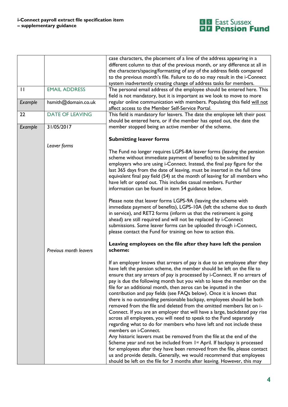

|              |                        | case characters, the placement of a line of the address appearing in a      |
|--------------|------------------------|-----------------------------------------------------------------------------|
|              |                        | different column to that of the previous month, or any difference at all in |
|              |                        | the characters/spacing/formatting of any of the address fields compared     |
|              |                        | to the previous month's file. Failure to do so may result in the i-Connect  |
|              |                        | system inadvertently creating change of address tasks for members.          |
| $\mathbf{I}$ | <b>EMAIL ADDRESS</b>   | The personal email address of the employee should be entered here. This     |
|              |                        | field is not mandatory, but it is important as we look to move to more      |
| Example      | hsmith@domain.co.uk    | regular online communication with members. Populating this field will not   |
|              |                        | affect access to the Member Self-Service Portal.                            |
| 22           | <b>DATE OF LEAVING</b> | This field is mandatory for leavers. The date the employee left their post  |
|              |                        | should be entered here, or if the member has opted out, the date the        |
| Example      | 31/05/2017             | member stopped being an active member of the scheme.                        |
|              |                        |                                                                             |
|              |                        | <b>Submitting leaver forms</b>                                              |
|              | Leaver forms           |                                                                             |
|              |                        | The Fund no longer requires LGPS-8A leaver forms (leaving the pension       |
|              |                        | scheme without immediate payment of benefits) to be submitted by            |
|              |                        | employers who are using i-Connect. Instead, the final pay figure for the    |
|              |                        |                                                                             |
|              |                        | last 365 days from the date of leaving, must be inserted in the full time   |
|              |                        | equivalent final pay field (54) at the month of leaving for all members who |
|              |                        | have left or opted out. This includes casual members. Further               |
|              |                        | information can be found in item 54 guidance below.                         |
|              |                        |                                                                             |
|              |                        | Please note that leaver forms LGPS-9A (leaving the scheme with              |
|              |                        | immediate payment of benefits), LGPS-10A (left the scheme due to death      |
|              |                        | in service), and RET2 forms (inform us that the retirement is going         |
|              |                        | ahead) are still required and will not be replaced by i-Connect             |
|              |                        | submissions. Some leaver forms can be uploaded through i-Connect,           |
|              |                        | please contact the Fund for training on how to action this.                 |
|              |                        |                                                                             |
|              |                        | Leaving employees on the file after they have left the pension              |
|              | Previous month leavers | scheme:                                                                     |
|              |                        |                                                                             |
|              |                        | If an employer knows that arrears of pay is due to an employee after they   |
|              |                        | have left the pension scheme, the member should be left on the file to      |
|              |                        | ensure that any arrears of pay is processed by i-Connect. If no arrears of  |
|              |                        | pay is due the following month but you wish to leave the member on the      |
|              |                        | file for an additional month, then zeros can be inputted in the             |
|              |                        | contribution and pay fields (see FAQs below). Once it is known that         |
|              |                        | there is no outstanding pensionable backpay, employees should be both       |
|              |                        | removed from the file and deleted from the omitted members list on i-       |
|              |                        | Connect. If you are an employer that will have a large, backdated pay rise  |
|              |                        | across all employees, you will need to speak to the Fund separately         |
|              |                        | regarding what to do for members who have left and not include these        |
|              |                        | members on i-Connect.                                                       |
|              |                        | Any historic leavers must be removed from the file at the end of the        |
|              |                        | Scheme year and not be included from 1st April. If backpay is processed     |
|              |                        | for employees after they have been removed from the file, please contact    |
|              |                        | us and provide details. Generally, we would recommend that employees        |
|              |                        |                                                                             |
|              |                        | should be left on the file for 3 months after leaving. However, this may    |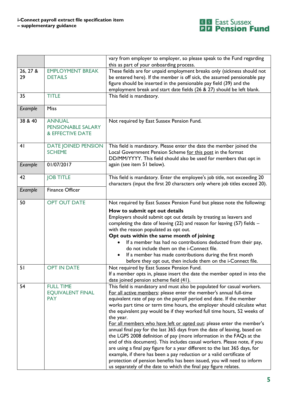

|                |                                             | vary from employer to employer, so please speak to the Fund regarding                                                                                   |
|----------------|---------------------------------------------|---------------------------------------------------------------------------------------------------------------------------------------------------------|
| 26, 27 &       | <b>EMPLOYMENT BREAK</b>                     | this as part of your onboarding process.<br>These fields are for unpaid employment breaks only (sickness should not                                     |
| 29             | <b>DETAILS</b>                              | be entered here). If the member is off sick, the assumed pensionable pay                                                                                |
|                |                                             | figure should be inserted in the pensionable pay field (39) and the                                                                                     |
|                |                                             | employment break and start date fields (26 & 27) should be left blank.                                                                                  |
| 35             | <b>TITLE</b>                                | This field is mandatory.                                                                                                                                |
|                | <b>Miss</b>                                 |                                                                                                                                                         |
| Example        |                                             |                                                                                                                                                         |
| 38 & 40        | <b>ANNUAL</b>                               | Not required by East Sussex Pension Fund.                                                                                                               |
|                | PENSIONABLE SALARY                          |                                                                                                                                                         |
|                | & EFFECTIVE DATE                            |                                                                                                                                                         |
| 4 <sub>l</sub> | <b>DATE JOINED PENSION</b>                  | This field is mandatory. Please enter the date the member joined the                                                                                    |
|                | <b>SCHEME</b>                               | Local Government Pension Scheme for this post in the format                                                                                             |
|                |                                             | DD/MM/YYYY. This field should also be used for members that opt in                                                                                      |
| Example        | 01/07/2017                                  | again (see item 51 below).                                                                                                                              |
| 42             | <b>JOB TITLE</b>                            | This field is mandatory. Enter the employee's job title, not exceeding 20                                                                               |
|                |                                             | characters (input the first 20 characters only where job titles exceed 20).                                                                             |
| Example        | <b>Finance Officer</b>                      |                                                                                                                                                         |
|                |                                             |                                                                                                                                                         |
| 50             | <b>OPT OUT DATE</b>                         | Not required by East Sussex Pension Fund but please note the following:                                                                                 |
|                |                                             | How to submit opt out details                                                                                                                           |
|                |                                             | Employers should submit opt out details by treating as leavers and                                                                                      |
|                |                                             | completing the date of leaving $(22)$ and reason for leaving $(57)$ fields -                                                                            |
|                |                                             | with the reason populated as opt out.<br>Opt outs within the same month of joining                                                                      |
|                |                                             | If a member has had no contributions deducted from their pay,                                                                                           |
|                |                                             | do not include them on the i-Connect file.                                                                                                              |
|                |                                             | If a member has made contributions during the first month                                                                                               |
|                |                                             | before they opt out, then include them on the i-Connect file.                                                                                           |
| 51             | <b>OPT IN DATE</b>                          | Not required by East Sussex Pension Fund.                                                                                                               |
|                |                                             | If a member opts in, please insert the date the member opted in into the                                                                                |
|                |                                             | date joined pension scheme field (41).                                                                                                                  |
| 54             | <b>FULL TIME</b><br><b>EQUIVALENT FINAL</b> | This field is mandatory and must also be populated for casual workers.                                                                                  |
|                | <b>PAY</b>                                  | For all active members: please enter the member's annual full-time<br>equivalent rate of pay on the payroll period end date. If the member              |
|                |                                             | works part time or term time hours, the employer should calculate what                                                                                  |
|                |                                             | the equivalent pay would be if they worked full time hours, 52 weeks of                                                                                 |
|                |                                             | the year.                                                                                                                                               |
|                |                                             | For all members who have left or opted out: please enter the member's                                                                                   |
|                |                                             | annual final pay for the last 365 days from the date of leaving, based on                                                                               |
|                |                                             | the LGPS 2008 definition of pay (more information in the FAQs at the                                                                                    |
|                |                                             | end of this document). This includes casual workers. Please note, if you<br>are using a final pay figure for a year different to the last 365 days, for |
|                |                                             | example, if there has been a pay reduction or a valid certificate of                                                                                    |
|                |                                             | protection of pension benefits has been issued, you will need to inform                                                                                 |
|                |                                             | us separately of the date to which the final pay figure relates.                                                                                        |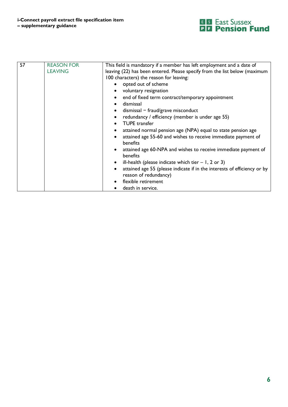

| 57 | <b>REASON FOR</b><br><b>LEAVING</b> | This field is mandatory if a member has left employment and a date of<br>leaving (22) has been entered. Please specify from the list below (maximum |
|----|-------------------------------------|-----------------------------------------------------------------------------------------------------------------------------------------------------|
|    |                                     | 100 characters) the reason for leaving:                                                                                                             |
|    |                                     | • opted out of scheme                                                                                                                               |
|    |                                     | voluntary resignation                                                                                                                               |
|    |                                     | • end of fixed term contract/temporary appointment                                                                                                  |
|    |                                     | dismissal                                                                                                                                           |
|    |                                     | $dismissal - \frac{fraud}{grave}$ misconduct                                                                                                        |
|    |                                     | redundancy / efficiency (member is under age 55)                                                                                                    |
|    |                                     | <b>TUPE</b> transfer                                                                                                                                |
|    |                                     | attained normal pension age (NPA) equal to state pension age                                                                                        |
|    |                                     | attained age 55-60 and wishes to receive immediate payment of<br>benefits                                                                           |
|    |                                     | attained age 60-NPA and wishes to receive immediate payment of<br>benefits                                                                          |
|    |                                     | ill-health (please indicate which tier $-1$ , 2 or 3)                                                                                               |
|    |                                     | attained age 55 (please indicate if in the interests of efficiency or by                                                                            |
|    |                                     | reason of redundancy)                                                                                                                               |
|    |                                     | flexible retirement                                                                                                                                 |
|    |                                     | death in service.                                                                                                                                   |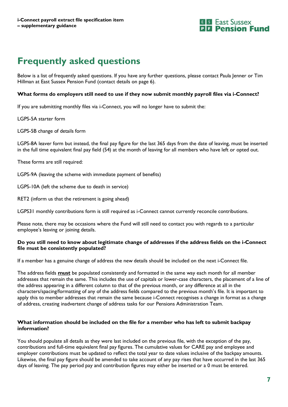

### **Frequently asked questions**

Below is a list of frequently asked questions. If you have any further questions, please contact Paula Jenner or Tim Hillman at East Sussex Pension Fund (contact details on page 6).

#### **What forms do employers still need to use if they now submit monthly payroll files via i-Connect?**

If you are submitting monthly files via i-Connect, you will no longer have to submit the:

LGPS-5A starter form

LGPS-5B change of details form

LGPS-8A leaver form but instead, the final pay figure for the last 365 days from the date of leaving, must be inserted in the full time equivalent final pay field (54) at the month of leaving for all members who have left or opted out.

These forms are still required:

LGPS-9A (leaving the scheme with immediate payment of benefits)

LGPS-10A (left the scheme due to death in service)

RET2 (inform us that the retirement is going ahead)

LGPS31 monthly contributions form is still required as i-Connect cannot currently reconcile contributions.

Please note, there may be occasions where the Fund will still need to contact you with regards to a particular employee's leaving or joining details.

#### **Do you still need to know about legitimate change of addresses if the address fields on the i-Connect file must be consistently populated?**

If a member has a genuine change of address the new details should be included on the next i-Connect file.

The address fields **must** be populated consistently and formatted in the same way each month for all member addresses that remain the same. This includes the use of capitals or lower-case characters, the placement of a line of the address appearing in a different column to that of the previous month, or any difference at all in the characters/spacing/formatting of any of the address fields compared to the previous month's file. It is important to apply this to member addresses that remain the same because i-Connect recognises a change in format as a change of address, creating inadvertent change of address tasks for our Pensions Administration Team.

#### **What information should be included on the file for a member who has left to submit backpay information?**

You should populate all details as they were last included on the previous file, with the exception of the pay, contributions and full-time equivalent final pay figures. The cumulative values for CARE pay and employee and employer contributions must be updated to reflect the total year to date values inclusive of the backpay amounts. Likewise, the final pay figure should be amended to take account of any pay rises that have occurred in the last 365 days of leaving. The pay period pay and contribution figures may either be inserted or a 0 must be entered.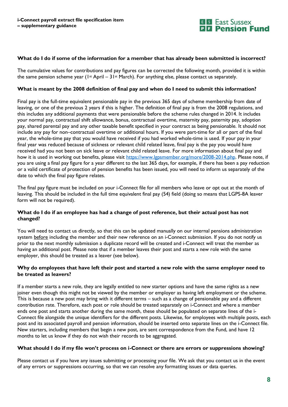

#### **What do I do if some of the information for a member that has already been submitted is incorrect?**

The cumulative values for contributions and pay figures can be corrected the following month, provided it is within the same pension scheme year (1<sup>st</sup> April – 31<sup>st</sup> March). For anything else, please contact us separately.

#### **What is meant by the 2008 definition of final pay and when do I need to submit this information?**

Final pay is the full-time equivalent pensionable pay in the previous 365 days of scheme membership from date of leaving, or one of the previous 2 years if this is higher. The definition of final pay is from the 2008 regulations, and this includes any additional payments that were pensionable before the scheme rules changed in 2014. It includes your normal pay, contractual shift allowance, bonus, contractual overtime, maternity pay, paternity pay, adoption pay, shared parental pay and any other taxable benefit specified in your contract as being pensionable. It should not include any pay for non–contractual overtime or additional hours. If you were part-time for all or part of the final year, the whole-time pay that you would have received if you had worked whole-time is used. If your pay in your final year was reduced because of sickness or relevant child related leave, final pay is the pay you would have received had you not been on sick leave or relevant child related leave. For more information about final pay and how it is used in working out benefits, please visit [https://www.lgpsmember.org/more/2008-2014.php.](https://www.lgpsmember.org/more/2008-2014.php) Please note, if you are using a final pay figure for a year different to the last 365 days, for example, if there has been a pay reduction or a valid certificate of protection of pension benefits has been issued, you will need to inform us separately of the date to which the final pay figure relates.

The final pay figure must be included on your i-Connect file for all members who leave or opt out at the month of leaving. This should be included in the full time equivalent final pay (54) field (doing so means that LGPS-8A leaver form will not be required).

#### **What do I do if an employee has had a change of post reference, but their actual post has not changed?**

You will need to contact us directly, so that this can be updated manually on our internal pensions administration system before including the member and their new reference on an i-Connect submission. If you do not notify us prior to the next monthly submission a duplicate record will be created and i-Connect will treat the member as having an additional post. Please note that if a member leaves their post and starts a new role with the same employer, this should be treated as a leaver (see below).

#### **Why do employees that have left their post and started a new role with the same employer need to be treated as leavers?**

If a member starts a new role, they are legally entitled to new starter options and have the same rights as a new joiner even though this might not be viewed by the member or employer as having left employment or the scheme. This is because a new post may bring with it different terms – such as a change of pensionable pay and a different contribution rate. Therefore, each post or role should be treated separately on i-Connect and where a member ends one post and starts another during the same month, these should be populated on separate lines of the i-Connect file alongside the unique identifiers for the different posts. Likewise, for employees with multiple posts, each post and its associated payroll and pension information, should be inserted onto separate lines on the i-Connect file. New starters, including members that begin a new post, are sent correspondence from the Fund, and have 12 months to let us know if they do not wish their records to be aggregated.

#### **What should I do if my file won't process on i-Connect or there are errors or suppressions showing?**

Please contact us if you have any issues submitting or processing your file. We ask that you contact us in the event of any errors or suppressions occurring, so that we can resolve any formatting issues or data queries.